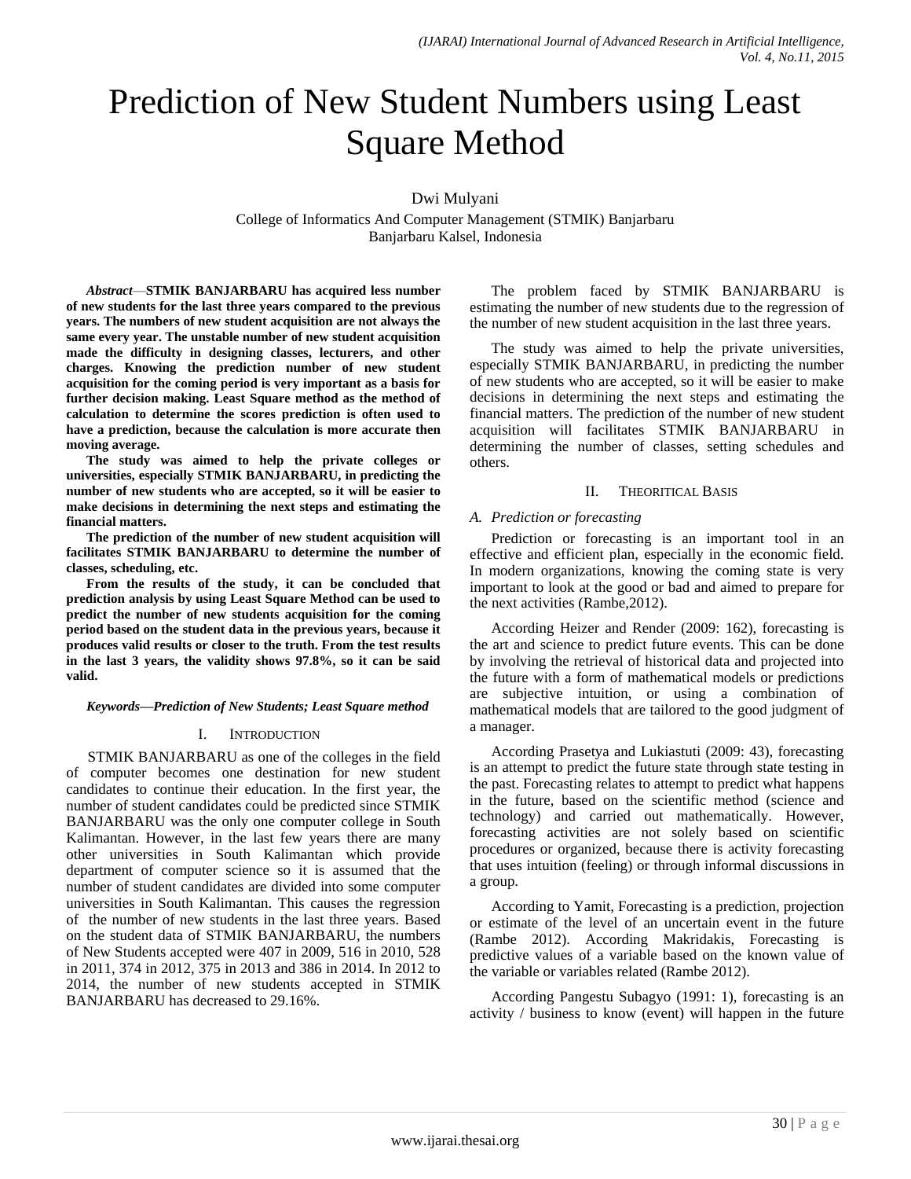# Prediction of New Student Numbers using Least Square Method

Dwi Mulyani

College of Informatics And Computer Management (STMIK) Banjarbaru Banjarbaru Kalsel, Indonesia

*Abstract*—**STMIK BANJARBARU has acquired less number of new students for the last three years compared to the previous years. The numbers of new student acquisition are not always the same every year. The unstable number of new student acquisition made the difficulty in designing classes, lecturers, and other charges. Knowing the prediction number of new student acquisition for the coming period is very important as a basis for further decision making. Least Square method as the method of calculation to determine the scores prediction is often used to have a prediction, because the calculation is more accurate then moving average.**

**The study was aimed to help the private colleges or universities, especially STMIK BANJARBARU, in predicting the number of new students who are accepted, so it will be easier to make decisions in determining the next steps and estimating the financial matters.**

**The prediction of the number of new student acquisition will facilitates STMIK BANJARBARU to determine the number of classes, scheduling, etc.**

**From the results of the study, it can be concluded that prediction analysis by using Least Square Method can be used to predict the number of new students acquisition for the coming period based on the student data in the previous years, because it produces valid results or closer to the truth. From the test results in the last 3 years, the validity shows 97.8%, so it can be said valid.**

#### *Keywords—Prediction of New Students; Least Square method*

# I. INTRODUCTION

STMIK BANJARBARU as one of the colleges in the field of computer becomes one destination for new student candidates to continue their education. In the first year, the number of student candidates could be predicted since STMIK BANJARBARU was the only one computer college in South Kalimantan. However, in the last few years there are many other universities in South Kalimantan which provide department of computer science so it is assumed that the number of student candidates are divided into some computer universities in South Kalimantan. This causes the regression of the number of new students in the last three years. Based on the student data of STMIK BANJARBARU, the numbers of New Students accepted were 407 in 2009, 516 in 2010, 528 in 2011, 374 in 2012, 375 in 2013 and 386 in 2014. In 2012 to 2014, the number of new students accepted in STMIK BANJARBARU has decreased to 29.16%.

The problem faced by STMIK BANJARBARU is estimating the number of new students due to the regression of the number of new student acquisition in the last three years.

The study was aimed to help the private universities, especially STMIK BANJARBARU, in predicting the number of new students who are accepted, so it will be easier to make decisions in determining the next steps and estimating the financial matters. The prediction of the number of new student acquisition will facilitates STMIK BANJARBARU in determining the number of classes, setting schedules and others.

# II. THEORITICAL BASIS

#### *A. Prediction or forecasting*

Prediction or forecasting is an important tool in an effective and efficient plan, especially in the economic field. In modern organizations, knowing the coming state is very important to look at the good or bad and aimed to prepare for the next activities (Rambe,2012).

According Heizer and Render (2009: 162), forecasting is the art and science to predict future events. This can be done by involving the retrieval of historical data and projected into the future with a form of mathematical models or predictions are subjective intuition, or using a combination of mathematical models that are tailored to the good judgment of a manager.

According Prasetya and Lukiastuti (2009: 43), forecasting is an attempt to predict the future state through state testing in the past. Forecasting relates to attempt to predict what happens in the future, based on the scientific method (science and technology) and carried out mathematically. However, forecasting activities are not solely based on scientific procedures or organized, because there is activity forecasting that uses intuition (feeling) or through informal discussions in a group.

According to Yamit, Forecasting is a prediction, projection or estimate of the level of an uncertain event in the future (Rambe 2012). According Makridakis, Forecasting is predictive values of a variable based on the known value of the variable or variables related (Rambe 2012).

According Pangestu Subagyo (1991: 1), forecasting is an activity / business to know (event) will happen in the future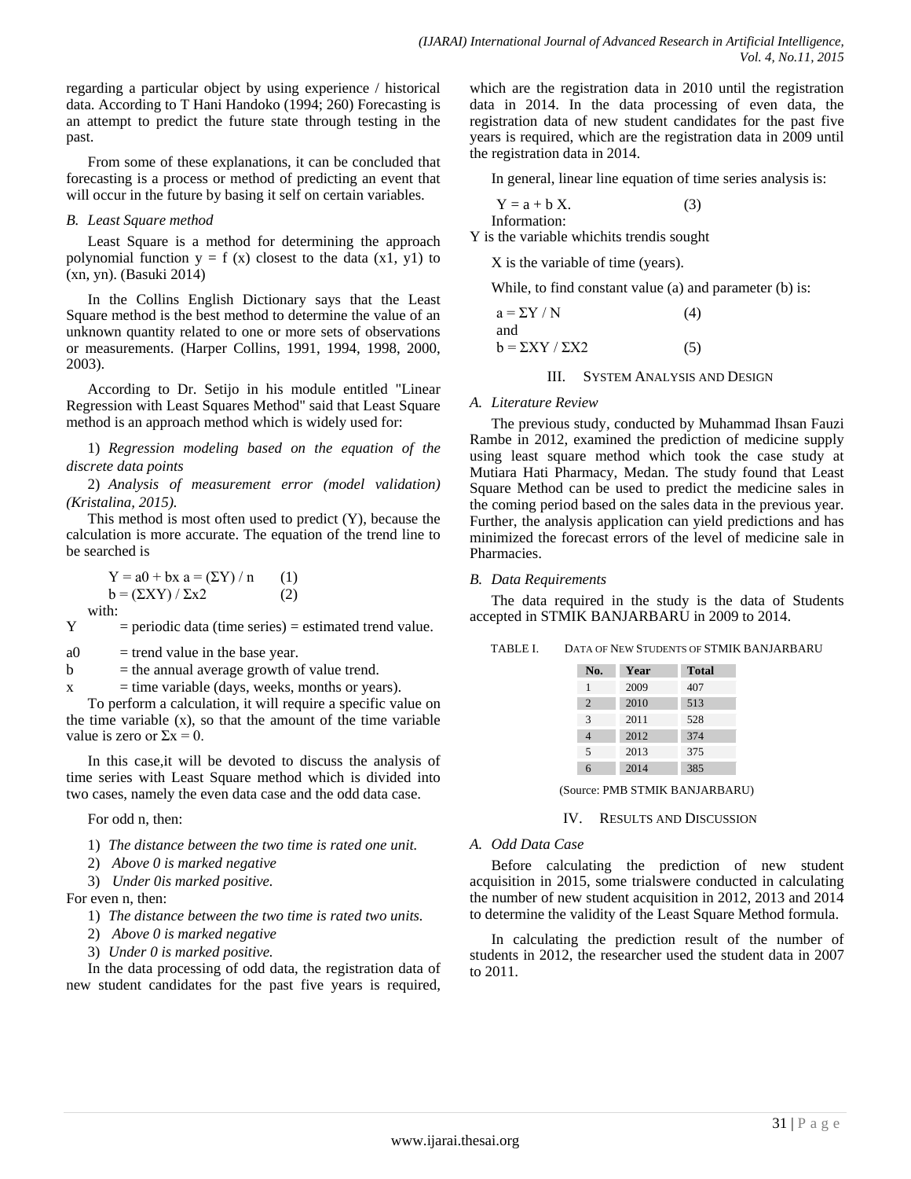regarding a particular object by using experience / historical data. According to T Hani Handoko (1994; 260) Forecasting is an attempt to predict the future state through testing in the past.

From some of these explanations, it can be concluded that forecasting is a process or method of predicting an event that will occur in the future by basing it self on certain variables.

# *B. Least Square method*

Least Square is a method for determining the approach polynomial function  $y = f(x)$  closest to the data  $(x1, y1)$  to (xn, yn). (Basuki 2014)

In the Collins English Dictionary says that the Least Square method is the best method to determine the value of an unknown quantity related to one or more sets of observations or measurements. (Harper Collins, 1991, 1994, 1998, 2000, 2003).

According to Dr. Setijo in his module entitled "Linear Regression with Least Squares Method" said that Least Square method is an approach method which is widely used for:

1) *Regression modeling based on the equation of the discrete data points* 

2) *Analysis of measurement error (model validation) (Kristalina, 2015).*

This method is most often used to predict (Y), because the calculation is more accurate. The equation of the trend line to be searched is

 $Y = a0 + bx$  a =  $(\Sigma Y) / n$  (1)  $b = (\Sigma XY) / \Sigma x2$  (2) with:

 $Y =$  periodic data (time series) = estimated trend value.

- $a0 =$  trend value in the base year.
- $b =$  the annual average growth of value trend.

 $x = time variable (days, weeks, months or years).$ 

To perform a calculation, it will require a specific value on the time variable (x), so that the amount of the time variable value is zero or  $\Sigma x = 0$ .

In this case,it will be devoted to discuss the analysis of time series with Least Square method which is divided into two cases, namely the even data case and the odd data case.

For odd n, then:

1) *The distance between the two time is rated one unit.*

2) *Above 0 is marked negative*

3) *Under 0is marked positive.*

For even n, then:

- 1) *The distance between the two time is rated two units.*
- 2) *Above 0 is marked negative*
- 3) *Under 0 is marked positive.*

In the data processing of odd data, the registration data of new student candidates for the past five years is required, which are the registration data in 2010 until the registration data in 2014. In the data processing of even data, the registration data of new student candidates for the past five years is required, which are the registration data in 2009 until the registration data in 2014.

In general, linear line equation of time series analysis is:

$$
Y = a + b X.
$$
 (3)

Y is the variable whichits trendis sought

X is the variable of time (years).

While, to find constant value (a) and parameter (b) is:

| $a = \Sigma Y / N$          | (4) |
|-----------------------------|-----|
| and                         |     |
| $b = \Sigma XY / \Sigma X2$ | (5) |

III. SYSTEM ANALYSIS AND DESIGN

# *A. Literature Review*

The previous study, conducted by Muhammad Ihsan Fauzi Rambe in 2012, examined the prediction of medicine supply using least square method which took the case study at Mutiara Hati Pharmacy, Medan. The study found that Least Square Method can be used to predict the medicine sales in the coming period based on the sales data in the previous year. Further, the analysis application can yield predictions and has minimized the forecast errors of the level of medicine sale in Pharmacies.

#### *B. Data Requirements*

The data required in the study is the data of Students accepted in STMIK BANJARBARU in 2009 to 2014.

TABLE I. DATA OF NEW STUDENTS OF STMIK BANJARBARU

| No.            | Year | <b>Total</b> |
|----------------|------|--------------|
| 1              | 2009 | 407          |
| $\overline{2}$ | 2010 | 513          |
| 3              | 2011 | 528          |
| 4              | 2012 | 374          |
| 5              | 2013 | 375          |
| 6              | 2014 | 385          |

(Source: PMB STMIK BANJARBARU)

#### IV. RESULTS AND DISCUSSION

# *A. Odd Data Case*

Before calculating the prediction of new student acquisition in 2015, some trialswere conducted in calculating the number of new student acquisition in 2012, 2013 and 2014 to determine the validity of the Least Square Method formula.

In calculating the prediction result of the number of students in 2012, the researcher used the student data in 2007 to 2011.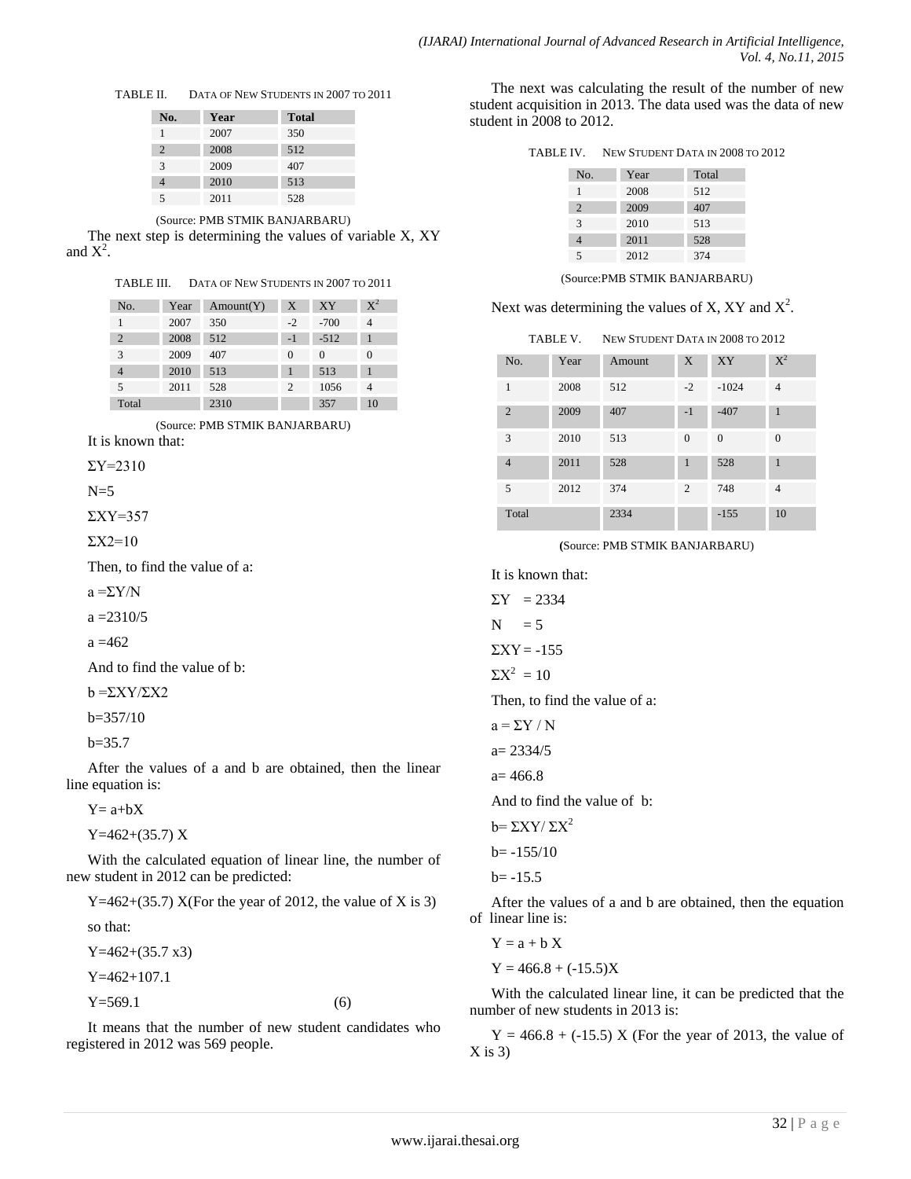TABLE II. DATA OF NEW STUDENTS IN 2007 TO 2011

| No.            | Year | <b>Total</b> |
|----------------|------|--------------|
|                | 2007 | 350          |
| $\overline{2}$ | 2008 | 512          |
| $\mathcal{R}$  | 2009 | 407          |
|                | 2010 | 513          |
|                | 2011 | 528          |

(Source: PMB STMIK BANJARBARU)

The next step is determining the values of variable X, XY and  $X^2$ .

TABLE III. DATA OF NEW STUDENTS IN 2007 TO 2011

| No.            | Year | Amount(Y) | X    | XY       | $\mathrm{X}^2$ |
|----------------|------|-----------|------|----------|----------------|
|                | 2007 | 350       | $-2$ | $-700$   |                |
| $\overline{2}$ | 2008 | 512       | $-1$ | $-512$   |                |
| 3              | 2009 | 407       | 0    | $\Omega$ | $\Omega$       |
| 4              | 2010 | 513       |      | 513      |                |
| 5              | 2011 | 528       | 2    | 1056     |                |
| Total          |      | 2310      |      | 357      | 10             |

(Source: PMB STMIK BANJARBARU)

It is known that:

 $\Sigma$ Y=2310

 $N=5$ 

ΣXY=357

$$
\Sigma X2=10
$$

Then, to find the value of a:

 $a = \Sigma Y/N$ 

 $a = 2310/5$ 

$$
a = 462
$$

And to find the value of b:

 $b = \Sigma XY / \Sigma X2$ 

b=357/10

 $b=35.7$ 

After the values of a and b are obtained, then the linear line equation is:

 $Y= a+bX$ 

Y=462+(35.7) X

With the calculated equation of linear line, the number of new student in 2012 can be predicted:

Y=462+(35.7) X(For the year of 2012, the value of X is 3)

so that:

 $Y=462+(35.7 x3)$ Y=462+107.1  $Y=569.1$  (6)

It means that the number of new student candidates who registered in 2012 was 569 people.

The next was calculating the result of the number of new student acquisition in 2013. The data used was the data of new student in 2008 to 2012.

|  | TABLE IV. | NEW STUDENT DATA IN 2008 TO 2012 |  |
|--|-----------|----------------------------------|--|
|--|-----------|----------------------------------|--|

| No.           | Year | Total |
|---------------|------|-------|
|               | 2008 | 512   |
| 2             | 2009 | 407   |
| $\mathcal{R}$ | 2010 | 513   |
|               | 2011 | 528   |
| 5             | 2012 | 374   |

(Source:PMB STMIK BANJARBARU)

Next was determining the values of X, XY and  $X^2$ .

| TABLE V. | NEW STUDENT DATA IN 2008 TO 2012 |
|----------|----------------------------------|
|----------|----------------------------------|

| No.            | Year | Amount | X            | <b>XY</b> | $X^2$          |
|----------------|------|--------|--------------|-----------|----------------|
| 1              | 2008 | 512    | $-2$         | $-1024$   | $\overline{4}$ |
| $\overline{2}$ | 2009 | 407    | $-1$         | $-407$    | $\mathbf{1}$   |
| 3              | 2010 | 513    | $\theta$     | $\Omega$  | $\overline{0}$ |
| $\overline{4}$ | 2011 | 528    | $\mathbf{1}$ | 528       | $\mathbf{1}$   |
| 5              | 2012 | 374    | 2            | 748       | $\overline{4}$ |
| Total          |      | 2334   |              | $-155$    | 10             |

**(**Source: PMB STMIK BANJARBARU)

It is known that:  $\Sigma Y = 2334$  $N = 5$  $\Sigma XY = -155$  $\Sigma X^2 = 10$ Then, to find the value of a:  $a = \Sigma Y / N$ a= 2334/5  $a= 466.8$ And to find the value of b:  $b = \sum XY / \sum X^2$  $b = -155/10$  $b = -15.5$ 

After the values of a and b are obtained, then the equation of linear line is:

 $Y = a + b X$  $Y = 466.8 + (-15.5)X$ 

With the calculated linear line, it can be predicted that the number of new students in 2013 is:

 $Y = 466.8 + (-15.5) X$  (For the year of 2013, the value of  $X$  is 3)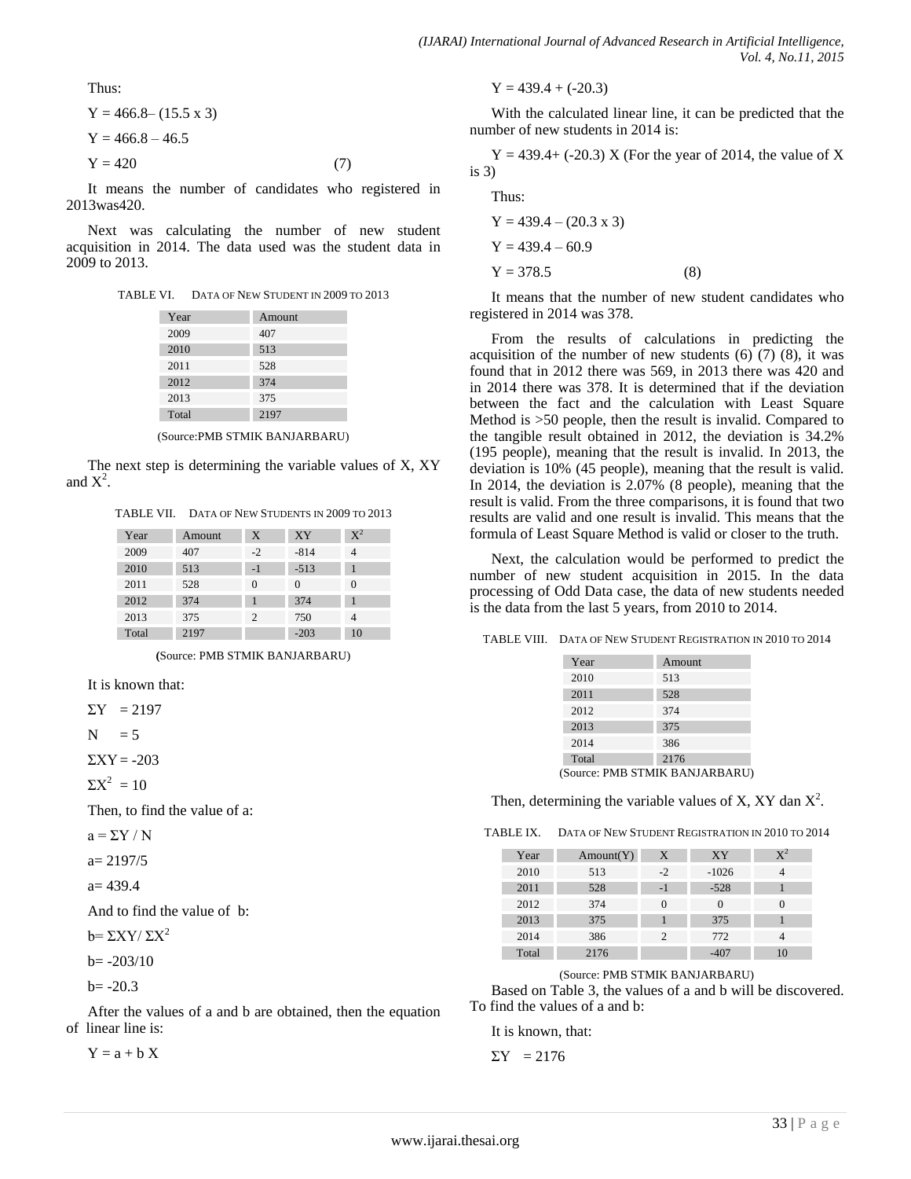Thus:

$$
Y = 466.8 - (15.5 \times 3)
$$
  
\n
$$
Y = 466.8 - 46.5
$$
  
\n
$$
Y = 420
$$
 (7)

It means the number of candidates who registered in 2013was420.

Next was calculating the number of new student acquisition in 2014. The data used was the student data in 2009 to 2013.

TABLE VI. DATA OF NEW STUDENT IN 2009 TO 2013

| Year  | Amount |
|-------|--------|
| 2009  | 407    |
| 2010  | 513    |
| 2011  | 528    |
| 2012  | 374    |
| 2013  | 375    |
| Total | 2197   |

(Source:PMB STMIK BANJARBARU)

The next step is determining the variable values of X, XY and  $X^2$ .

TABLE VII. DATA OF NEW STUDENTS IN 2009 TO 2013

| Year  | Amount | X    | <b>XY</b> | $\mathrm{X}^2$ |
|-------|--------|------|-----------|----------------|
| 2009  | 407    | $-2$ | $-814$    |                |
| 2010  | 513    | $-1$ | $-513$    |                |
| 2011  | 528    | 0    | $\Omega$  | $\Omega$       |
| 2012  | 374    |      | 374       |                |
| 2013  | 375    | 2    | 750       | 4              |
| Total | 2197   |      | $-203$    | 10             |

**(**Source: PMB STMIK BANJARBARU)

It is known that:

 $\Sigma Y = 2197$ 

$$
N\quad = 5
$$

 $\Sigma XY = -203$ 

$$
\Sigma X^2 = 10
$$

Then, to find the value of a:

 $a = \Sigma Y / N$ 

 $a= 2197/5$ 

$$
a = 439.4
$$

And to find the value of b:

 $b = \sum XY / \sum X^2$ 

 $b = -203/10$ 

$$
b = -20.3
$$

After the values of a and b are obtained, then the equation of linear line is:

 $Y = a + b X$ 

$$
Y = 439.4 + (-20.3)
$$

With the calculated linear line, it can be predicted that the number of new students in 2014 is:

 $Y = 439.4+ (-20.3) X$  (For the year of 2014, the value of X is 3)

Thus: Y = 439.4 – (20.3 x 3) Y = 439.4 – 60.9 Y = 378.5 (8)

It means that the number of new student candidates who registered in 2014 was 378.

From the results of calculations in predicting the acquisition of the number of new students  $(6)$   $(7)$   $(8)$ , it was found that in 2012 there was 569, in 2013 there was 420 and in 2014 there was 378. It is determined that if the deviation between the fact and the calculation with Least Square Method is >50 people, then the result is invalid. Compared to the tangible result obtained in 2012, the deviation is 34.2% (195 people), meaning that the result is invalid. In 2013, the deviation is 10% (45 people), meaning that the result is valid. In 2014, the deviation is 2.07% (8 people), meaning that the result is valid. From the three comparisons, it is found that two results are valid and one result is invalid. This means that the formula of Least Square Method is valid or closer to the truth.

Next, the calculation would be performed to predict the number of new student acquisition in 2015. In the data processing of Odd Data case, the data of new students needed is the data from the last 5 years, from 2010 to 2014.

TABLE VIII. DATA OF NEW STUDENT REGISTRATION IN 2010 TO 2014

| Year             | Amount                      |
|------------------|-----------------------------|
| 2010             | 513                         |
| 2011             | 528                         |
| 2012             | 374                         |
| 2013             | 375                         |
| 2014             | 386                         |
| Total            | 2176                        |
| $n \sim n \ln n$ | $CDN$ $B1Z$ $D11111$ $DD11$ |

(Source: PMB STMIK BANJARBARU)

Then, determining the variable values of X, XY dan  $X^2$ .

TABLE IX. DATA OF NEW STUDENT REGISTRATION IN 2010 TO 2014

| Year  | Amount(Y) | X    | <b>XY</b> | $\mathrm{X}^2$ |
|-------|-----------|------|-----------|----------------|
| 2010  | 513       | $-2$ | $-1026$   |                |
| 2011  | 528       | $-1$ | $-528$    |                |
| 2012  | 374       | 0    | $\Omega$  |                |
| 2013  | 375       |      | 375       |                |
| 2014  | 386       | 2    | 772       |                |
| Total | 2176      |      | $-407$    | 10             |

(Source: PMB STMIK BANJARBARU)

Based on Table 3, the values of a and b will be discovered. To find the values of a and b:

It is known, that:

$$
\Sigma Y = 2176
$$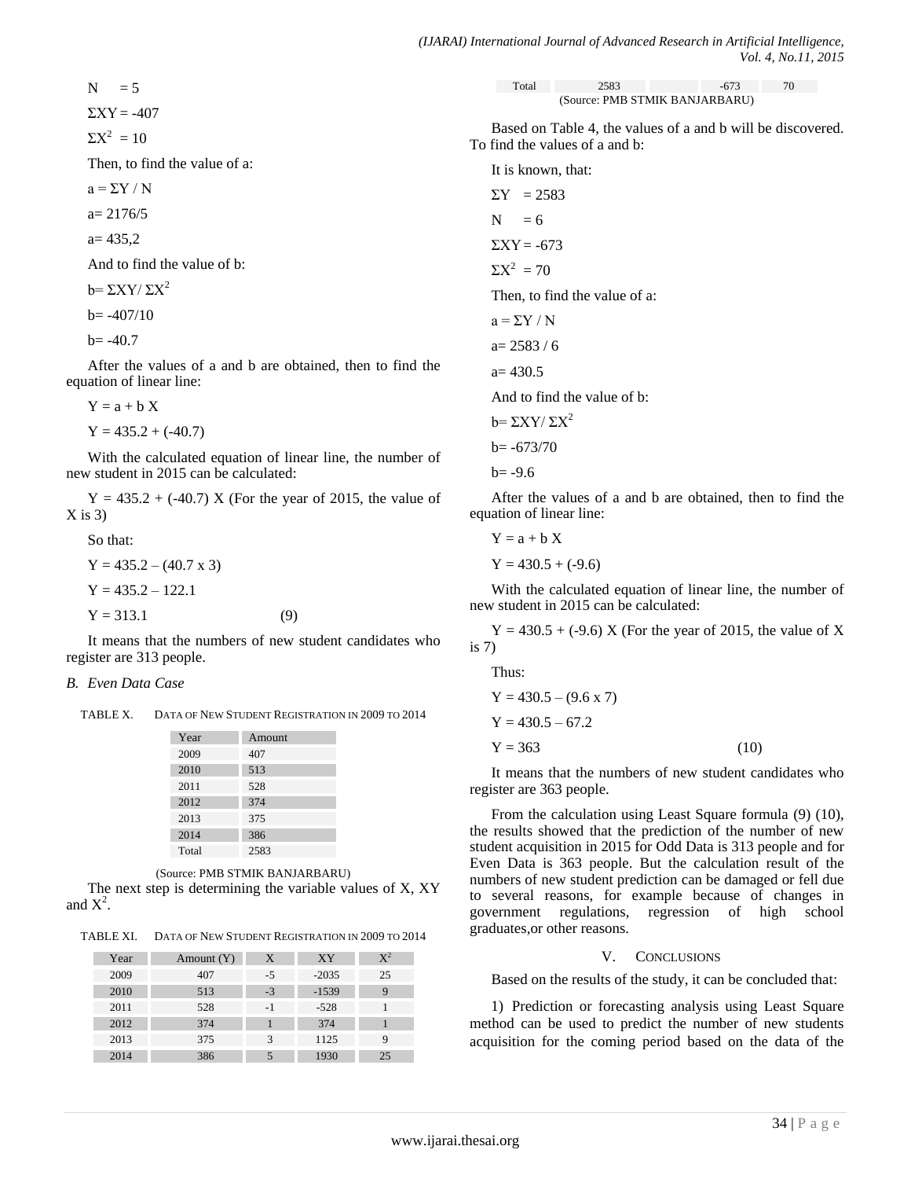$$
N = 5
$$
  
\n
$$
\Sigma XY = -407
$$
  
\n
$$
\Sigma X^2 = 10
$$

Then, to find the value of a:

$$
a = \Sigma Y / N
$$

 $a= 2176/5$ 

$$
a=435,2
$$

And to find the value of b:

$$
b = \Sigma XY / \Sigma X^2
$$

 $b = -407/10$ 

$$
b = -40.7
$$

After the values of a and b are obtained, then to find the equation of linear line:

$$
Y = a + b X
$$
  
Y = 435.2 + (-40.7)

With the calculated equation of linear line, the number of new student in 2015 can be calculated:

 $Y = 435.2 + (-40.7) X$  (For the year of 2015, the value of  $X$  is 3)

So that:  
\n
$$
Y = 435.2 - (40.7 \times 3)
$$
  
\n $Y = 435.2 - 122.1$   
\n $Y = 313.1$  (9)

It means that the numbers of new student candidates who register are 313 people.

# *B. Even Data Case*

TABLE X. DATA OF NEW STUDENT REGISTRATION IN 2009 TO 2014

| Year  | Amount |
|-------|--------|
| 2009  | 407    |
| 2010  | 513    |
| 2011  | 528    |
| 2012  | 374    |
| 2013  | 375    |
| 2014  | 386    |
| Total | 2583   |

(Source: PMB STMIK BANJARBARU)

The next step is determining the variable values of X, XY and  $X^2$ .

TABLE XI. DATA OF NEW STUDENT REGISTRATION IN 2009 TO 2014

| Year | Amount $(Y)$ | X    | XY      | $X^2$ |
|------|--------------|------|---------|-------|
| 2009 | 407          | $-5$ | $-2035$ | 25    |
| 2010 | 513          | $-3$ | $-1539$ |       |
| 2011 | 528          | -1   | $-528$  |       |
| 2012 | 374          |      | 374     |       |
| 2013 | 375          | 3    | 1125    |       |
| 2014 | 386          |      | 1930    | 25    |

| Total                          | 2583 | $-673$ | 70 |
|--------------------------------|------|--------|----|
| (Source: PMB STMIK BANJARBARU) |      |        |    |

Based on Table 4, the values of a and b will be discovered. To find the values of a and b:



After the values of a and b are obtained, then to find the equation of linear line:

$$
Y = a + b X
$$
  
Y = 430.5 + (-9.6)

With the calculated equation of linear line, the number of new student in 2015 can be calculated:

 $Y = 430.5 + (-9.6) X$  (For the year of 2015, the value of X is 7)

Thus:

$$
Y = 430.5 - (9.6 \times 7)
$$
  
\n
$$
Y = 430.5 - 67.2
$$
  
\n
$$
Y = 363
$$
 (10)

It means that the numbers of new student candidates who register are 363 people.

From the calculation using Least Square formula (9) (10), the results showed that the prediction of the number of new student acquisition in 2015 for Odd Data is 313 people and for Even Data is 363 people. But the calculation result of the numbers of new student prediction can be damaged or fell due to several reasons, for example because of changes in government regulations, regression of high school graduates,or other reasons.

# V. CONCLUSIONS

Based on the results of the study, it can be concluded that:

1) Prediction or forecasting analysis using Least Square method can be used to predict the number of new students acquisition for the coming period based on the data of the